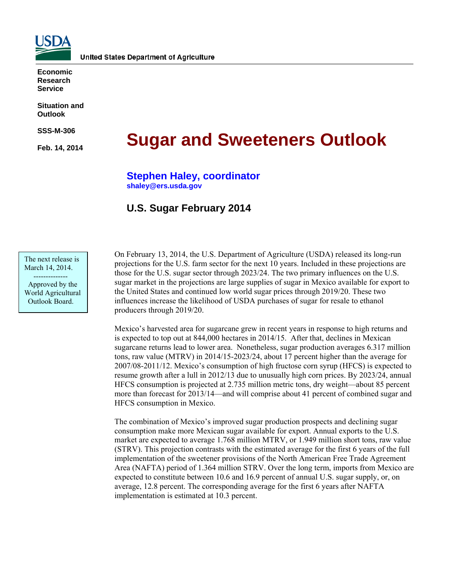

**Economic Research Service** 

**Situation and Outlook** 

**SSS-M-306** 

**Feb. 14, 2014** 

# **Sugar and Sweeteners Outlook**

**Stephen Haley, coordinator [shaley@ers.usda.gov](mailto:shaley@ers.usda.gov)** 

# **U.S. Sugar February 2014**

The next release is March 14, 2014. --------------

 Approved by the World Agricultural Outlook Board.

On February 13, 2014, the U.S. Department of Agriculture (USDA) released its long-run projections for the U.S. farm sector for the next 10 years. Included in these projections are those for the U.S. sugar sector through 2023/24. The two primary influences on the U.S. sugar market in the projections are large supplies of sugar in Mexico available for export to the United States and continued low world sugar prices through 2019/20. These two influences increase the likelihood of USDA purchases of sugar for resale to ethanol producers through 2019/20.

Mexico's harvested area for sugarcane grew in recent years in response to high returns and is expected to top out at 844,000 hectares in 2014/15. After that, declines in Mexican sugarcane returns lead to lower area. Nonetheless, sugar production averages 6.317 million tons, raw value (MTRV) in 2014/15-2023/24, about 17 percent higher than the average for 2007/08-2011/12. Mexico's consumption of high fructose corn syrup (HFCS) is expected to resume growth after a lull in 2012/13 due to unusually high corn prices. By 2023/24, annual HFCS consumption is projected at 2.735 million metric tons, dry weight—about 85 percent more than forecast for 2013/14—and will comprise about 41 percent of combined sugar and HFCS consumption in Mexico.

The combination of Mexico's improved sugar production prospects and declining sugar consumption make more Mexican sugar available for export. Annual exports to the U.S. market are expected to average 1.768 million MTRV, or 1.949 million short tons, raw value (STRV). This projection contrasts with the estimated average for the first 6 years of the full implementation of the sweetener provisions of the North American Free Trade Agreement Area (NAFTA) period of 1.364 million STRV. Over the long term, imports from Mexico are expected to constitute between 10.6 and 16.9 percent of annual U.S. sugar supply, or, on average, 12.8 percent. The corresponding average for the first 6 years after NAFTA implementation is estimated at 10.3 percent.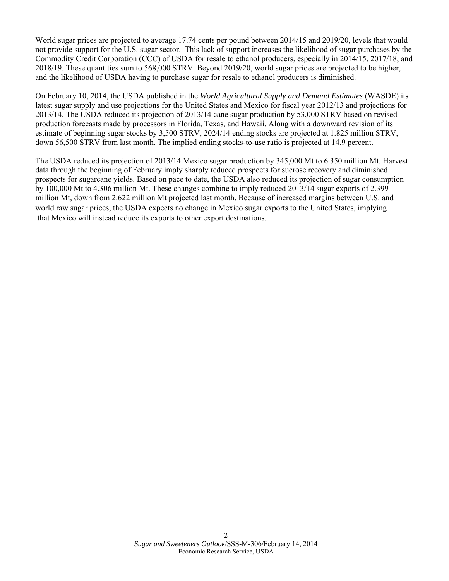World sugar prices are projected to average 17.74 cents per pound between 2014/15 and 2019/20, levels that would not provide support for the U.S. sugar sector. This lack of support increases the likelihood of sugar purchases by the Commodity Credit Corporation (CCC) of USDA for resale to ethanol producers, especially in 2014/15, 2017/18, and 2018/19. These quantities sum to 568,000 STRV. Beyond 2019/20, world sugar prices are projected to be higher, and the likelihood of USDA having to purchase sugar for resale to ethanol producers is diminished.

On February 10, 2014, the USDA published in the *World Agricultural Supply and Demand Estimates* (WASDE) its latest sugar supply and use projections for the United States and Mexico for fiscal year 2012/13 and projections for 2013/14. The USDA reduced its projection of 2013/14 cane sugar production by 53,000 STRV based on revised production forecasts made by processors in Florida, Texas, and Hawaii. Along with a downward revision of its estimate of beginning sugar stocks by 3,500 STRV, 2024/14 ending stocks are projected at 1.825 million STRV, down 56,500 STRV from last month. The implied ending stocks-to-use ratio is projected at 14.9 percent.

The USDA reduced its projection of 2013/14 Mexico sugar production by 345,000 Mt to 6.350 million Mt. Harvest data through the beginning of February imply sharply reduced prospects for sucrose recovery and diminished prospects for sugarcane yields. Based on pace to date, the USDA also reduced its projection of sugar consumption by 100,000 Mt to 4.306 million Mt. These changes combine to imply reduced 2013/14 sugar exports of 2.399 million Mt, down from 2.622 million Mt projected last month. Because of increased margins between U.S. and world raw sugar prices, the USDA expects no change in Mexico sugar exports to the United States, implying that Mexico will instead reduce its exports to other export destinations.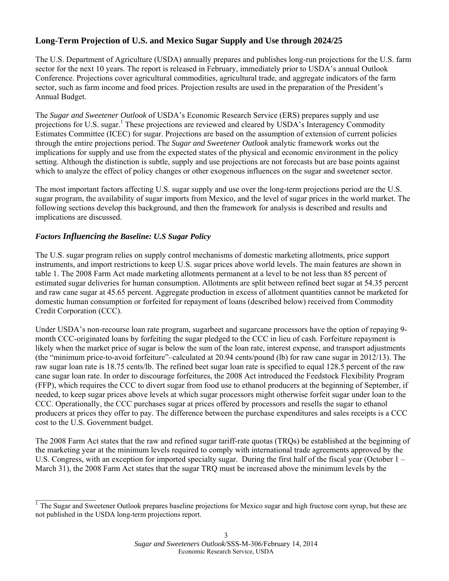# **Long-Term Projection of U.S. and Mexico Sugar Supply and Use through 2024/25**

The U.S. Department of Agriculture (USDA) annually prepares and publishes long-run projections for the U.S. farm sector for the next 10 years. The report is released in February, immediately prior to USDA's annual Outlook Conference. Projections cover agricultural commodities, agricultural trade, and aggregate indicators of the farm sector, such as farm income and food prices. Projection results are used in the preparation of the President's Annual Budget.

The *Sugar and Sweetener Outlook* of USDA's Economic Research Service (ERS) prepares supply and use projections for U.S. sugar.<sup>1</sup> These projections are reviewed and cleared by USDA's Interagency Commodity Estimates Committee (ICEC) for sugar. Projections are based on the assumption of extension of current policies through the entire projections period. The *Sugar and Sweetener Outlook* analytic framework works out the implications for supply and use from the expected states of the physical and economic environment in the policy setting. Although the distinction is subtle, supply and use projections are not forecasts but are base points against which to analyze the effect of policy changes or other exogenous influences on the sugar and sweetener sector.

The most important factors affecting U.S. sugar supply and use over the long-term projections period are the U.S. sugar program, the availability of sugar imports from Mexico, and the level of sugar prices in the world market. The following sections develop this background, and then the framework for analysis is described and results and implications are discussed.

### *Factors Influencing the Baseline: U.S Sugar Policy*

 $\overline{\phantom{a}}$  , where  $\overline{\phantom{a}}$ 

The U.S. sugar program relies on supply control mechanisms of domestic marketing allotments, price support instruments, and import restrictions to keep U.S. sugar prices above world levels. The main features are shown in table 1. The 2008 Farm Act made marketing allotments permanent at a level to be not less than 85 percent of estimated sugar deliveries for human consumption. Allotments are split between refined beet sugar at 54.35 percent and raw cane sugar at 45.65 percent. Aggregate production in excess of allotment quantities cannot be marketed for domestic human consumption or forfeited for repayment of loans (described below) received from Commodity Credit Corporation (CCC).

Under USDA's non-recourse loan rate program, sugarbeet and sugarcane processors have the option of repaying 9 month CCC-originated loans by forfeiting the sugar pledged to the CCC in lieu of cash. Forfeiture repayment is likely when the market price of sugar is below the sum of the loan rate, interest expense, and transport adjustments (the "minimum price-to-avoid forfeiture"–calculated at 20.94 cents/pound (lb) for raw cane sugar in 2012/13). The raw sugar loan rate is 18.75 cents/lb. The refined beet sugar loan rate is specified to equal 128.5 percent of the raw cane sugar loan rate. In order to discourage forfeitures, the 2008 Act introduced the Feedstock Flexibility Program (FFP), which requires the CCC to divert sugar from food use to ethanol producers at the beginning of September, if needed, to keep sugar prices above levels at which sugar processors might otherwise forfeit sugar under loan to the CCC. Operationally, the CCC purchases sugar at prices offered by processors and resells the sugar to ethanol producers at prices they offer to pay. The difference between the purchase expenditures and sales receipts is a CCC cost to the U.S. Government budget.

The 2008 Farm Act states that the raw and refined sugar tariff-rate quotas (TRQs) be established at the beginning of the marketing year at the minimum levels required to comply with international trade agreements approved by the U.S. Congress, with an exception for imported specialty sugar. During the first half of the fiscal year (October 1 – March 31), the 2008 Farm Act states that the sugar TRQ must be increased above the minimum levels by the

 $<sup>1</sup>$  The Sugar and Sweetener Outlook prepares baseline projections for Mexico sugar and high fructose corn syrup, but these are</sup> not published in the USDA long-term projections report.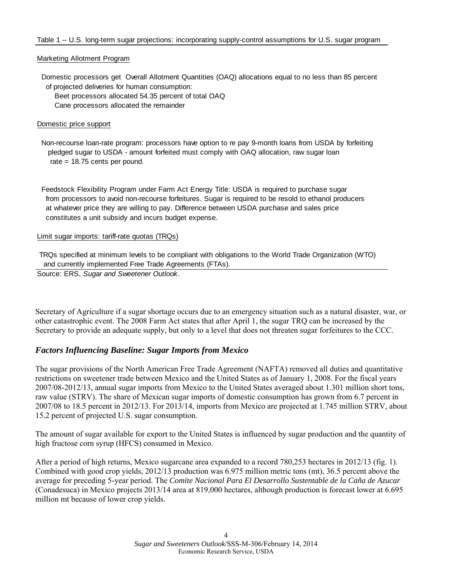#### Marketing Allotment Program

 Domestic processors get Overall Allotment Quantities (OAQ) allocations equal to no less than 85 percent of projected deliveries for human consumption:

Beet processors allocated 54.35 percent of total OAQ

Cane processors allocated the remainder

#### Domestic price support

 Non-recourse loan-rate program: processors have option to re pay 9-month loans from USDA by forfeiting pledged sugar to USDA - amount forfeited must comply with OAQ allocation, raw sugar loan rate = 18.75 cents per pound.

 Feedstock Flexibility Program under Farm Act Energy Title: USDA is required to purchase sugar from processors to avoid non-recourse forfeitures. Sugar is required to be resold to ethanol producers at whatever price they are willing to pay. Difference between USDA purchase and sales price constitutes a unit subsidy and incurs budget expense.

#### Limit sugar imports: tariff-rate quotas (TRQs)

 TRQs specified at minimum levels to be compliant with obligations to the World Trade Organization (WTO) and currently implemented Free Trade Agreements (FTAs).

Source: ERS, *Sugar and Sweetener Outlook.*

Secretary of Agriculture if a sugar shortage occurs due to an emergency situation such as a natural disaster, war, or other catastrophic event. The 2008 Farm Act states that after April 1, the sugar TRQ can be increased by the Secretary to provide an adequate supply, but only to a level that does not threaten sugar forfeitures to the CCC.

### *Factors Influencing Baseline: Sugar Imports from Mexico*

The sugar provisions of the North American Free Trade Agreement (NAFTA) removed all duties and quantitative restrictions on sweetener trade between Mexico and the United States as of January 1, 2008. For the fiscal years 2007/08-2012/13, annual sugar imports from Mexico to the United States averaged about 1.301 million short tons, raw value (STRV). The share of Mexican sugar imports of domestic consumption has grown from 6.7 percent in 2007/08 to 18.5 percent in 2012/13. For 2013/14, imports from Mexico are projected at 1.745 million STRV, about 15.2 percent of projected U.S. sugar consumption.

The amount of sugar available for export to the United States is influenced by sugar production and the quantity of high fructose corn syrup (HFCS) consumed in Mexico.

After a period of high returns, Mexico sugarcane area expanded to a record 780,253 hectares in 2012/13 (fig. 1). Combined with good crop yields, 2012/13 production was 6.975 million metric tons (mt), 36.5 percent above the average for preceding 5-year period. The *Comite Nacional Para El Desarrollo Sustentable de la Caña de Azucar* (Conadesuca) in Mexico projects 2013/14 area at 819,000 hectares, although production is forecast lower at 6.695 million mt because of lower crop yields.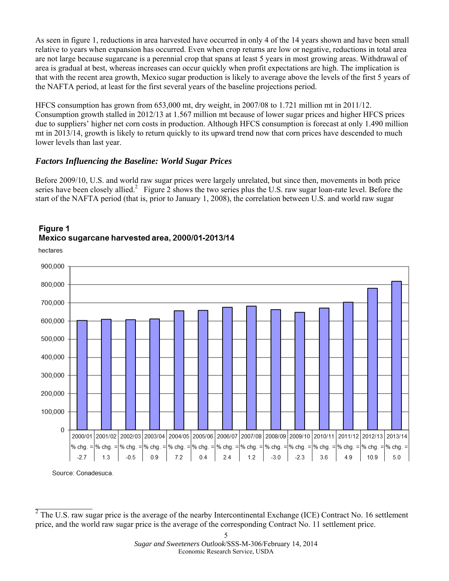As seen in figure 1, reductions in area harvested have occurred in only 4 of the 14 years shown and have been small relative to years when expansion has occurred. Even when crop returns are low or negative, reductions in total area are not large because sugarcane is a perennial crop that spans at least 5 years in most growing areas. Withdrawal of area is gradual at best, whereas increases can occur quickly when profit expectations are high. The implication is that with the recent area growth, Mexico sugar production is likely to average above the levels of the first 5 years of the NAFTA period, at least for the first several years of the baseline projections period.

HFCS consumption has grown from 653,000 mt, dry weight, in 2007/08 to 1.721 million mt in 2011/12. Consumption growth stalled in 2012/13 at 1.567 million mt because of lower sugar prices and higher HFCS prices due to suppliers' higher net corn costs in production. Although HFCS consumption is forecast at only 1.490 million mt in 2013/14, growth is likely to return quickly to its upward trend now that corn prices have descended to much lower levels than last year.

# *Factors Influencing the Baseline: World Sugar Prices*

Before 2009/10, U.S. and world raw sugar prices were largely unrelated, but since then, movements in both price series have been closely allied.<sup>2</sup> Figure 2 shows the two series plus the U.S. raw sugar loan-rate level. Before the start of the NAFTA period (that is, prior to January 1, 2008), the correlation between U.S. and world raw sugar



# Figure 1 Mexico sugarcane harvested area, 2000/01-2013/14

Source: Conadesuca.

 $\frac{1}{2}$  ,  $\frac{1}{2}$  ,  $\frac{1}{2}$  ,  $\frac{1}{2}$  ,  $\frac{1}{2}$  ,  $\frac{1}{2}$  ,  $\frac{1}{2}$ 

 $2$  The U.S. raw sugar price is the average of the nearby Intercontinental Exchange (ICE) Contract No. 16 settlement price, and the world raw sugar price is the average of the corresponding Contract No. 11 settlement price.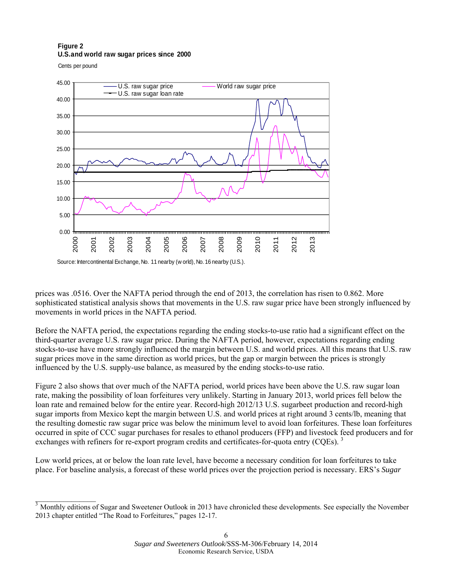#### **Figure 2 U.S.and world raw sugar prices since 2000**

Cents per pound

 $\overline{\phantom{a}}$  , where  $\overline{\phantom{a}}$ 



prices was .0516. Over the NAFTA period through the end of 2013, the correlation has risen to 0.862. More sophisticated statistical analysis shows that movements in the U.S. raw sugar price have been strongly influenced by movements in world prices in the NAFTA period.

Before the NAFTA period, the expectations regarding the ending stocks-to-use ratio had a significant effect on the third-quarter average U.S. raw sugar price. During the NAFTA period, however, expectations regarding ending stocks-to-use have more strongly influenced the margin between U.S. and world prices. All this means that U.S. raw sugar prices move in the same direction as world prices, but the gap or margin between the prices is strongly influenced by the U.S. supply-use balance, as measured by the ending stocks-to-use ratio.

Figure 2 also shows that over much of the NAFTA period, world prices have been above the U.S. raw sugar loan rate, making the possibility of loan forfeitures very unlikely. Starting in January 2013, world prices fell below the loan rate and remained below for the entire year. Record-high 2012/13 U.S. sugarbeet production and record-high sugar imports from Mexico kept the margin between U.S. and world prices at right around 3 cents/lb, meaning that the resulting domestic raw sugar price was below the minimum level to avoid loan forfeitures. These loan forfeitures occurred in spite of CCC sugar purchases for resales to ethanol producers (FFP) and livestock feed producers and for exchanges with refiners for re-export program credits and certificates-for-quota entry (COEs).<sup>3</sup>

Low world prices, at or below the loan rate level, have become a necessary condition for loan forfeitures to take place. For baseline analysis, a forecast of these world prices over the projection period is necessary. ERS's *Sugar*

 $3$  Monthly editions of Sugar and Sweetener Outlook in 2013 have chronicled these developments. See especially the November 2013 chapter entitled "The Road to Forfeitures," pages 12-17.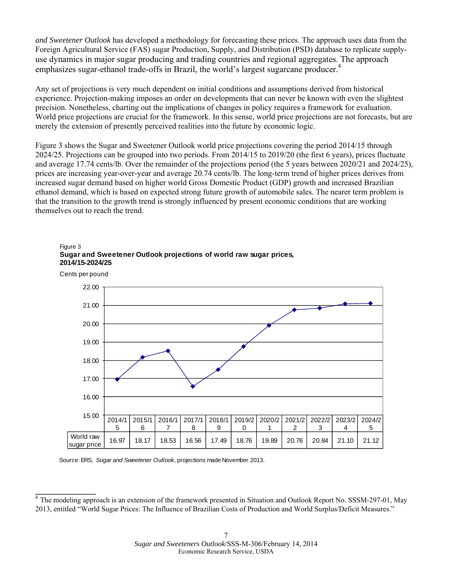*and Sweetener Outlook* has developed a methodology for forecasting these prices. The approach uses data from the Foreign Agricultural Service (FAS) sugar Production, Supply, and Distribution (PSD) database to replicate supplyuse dynamics in major sugar producing and trading countries and regional aggregates. The approach emphasizes sugar-ethanol trade-offs in Brazil, the world's largest sugarcane producer.<sup>4</sup>

Any set of projections is very much dependent on initial conditions and assumptions derived from historical experience. Projection-making imposes an order on developments that can never be known with even the slightest precision. Nonetheless, charting out the implications of changes in policy requires a framework for evaluation. World price projections are crucial for the framework. In this sense, world price projections are not forecasts, but are merely the extension of presently perceived realities into the future by economic logic.

Figure 3 shows the Sugar and Sweetener Outlook world price projections covering the period 2014/15 through 2024/25. Projections can be grouped into two periods. From 2014/15 to 2019/20 (the first 6 years), prices fluctuate and average 17.74 cents/lb. Over the remainder of the projections period (the 5 years between 2020/21 and 2024/25), prices are increasing year-over-year and average 20.74 cents/lb. The long-term trend of higher prices derives from increased sugar demand based on higher world Gross Domestic Product (GDP) growth and increased Brazilian ethanol demand, which is based on expected strong future growth of automobile sales. The nearer term problem is that the transition to the growth trend is strongly influenced by present economic conditions that are working themselves out to reach the trend.





Source: ERS, *Sugar and Sweetener Outlook,* projections made November 2013.

**\_\_\_\_\_\_\_\_\_\_\_\_\_\_\_** 

The modeling approach is an extension of the framework presented in Situation and Outlook Report No. SSSM-297-01, May 2013, entitled "World Sugar Prices: The Influence of Brazilian Costs of Production and World Surplus/Deficit Measures."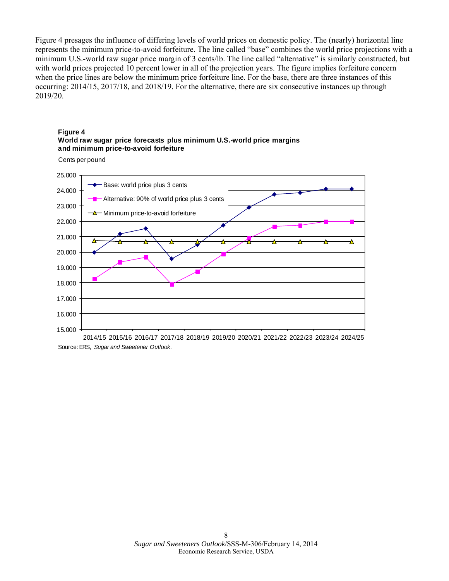Figure 4 presages the influence of differing levels of world prices on domestic policy. The (nearly) horizontal line represents the minimum price-to-avoid forfeiture. The line called "base" combines the world price projections with a minimum U.S.-world raw sugar price margin of 3 cents/lb. The line called "alternative" is similarly constructed, but with world prices projected 10 percent lower in all of the projection years. The figure implies forfeiture concern when the price lines are below the minimum price forfeiture line. For the base, there are three instances of this occurring: 2014/15, 2017/18, and 2018/19. For the alternative, there are six consecutive instances up through 2019/20.







<sup>2014/15 2015/16 2016/17 2017/18 2018/19 2019/20 2020/21 2021/22 2022/23 2023/24 2024/25</sup> Source: ERS, *Sugar and Sweetener Outlook.*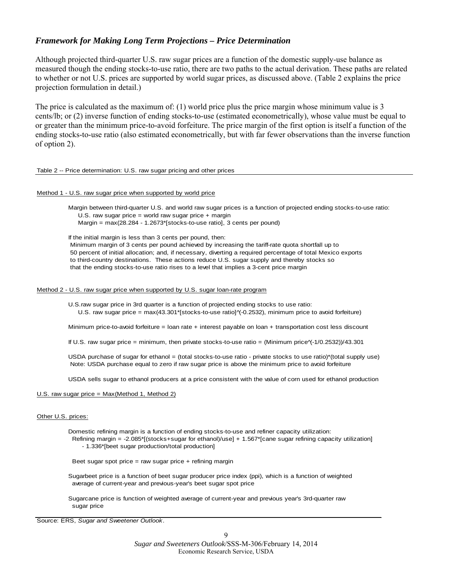## *Framework for Making Long Term Projections – Price Determination*

Although projected third-quarter U.S. raw sugar prices are a function of the domestic supply-use balance as measured though the ending stocks-to-use ratio, there are two paths to the actual derivation. These paths are related to whether or not U.S. prices are supported by world sugar prices, as discussed above. (Table 2 explains the price projection formulation in detail.)

The price is calculated as the maximum of: (1) world price plus the price margin whose minimum value is 3 cents/lb; or (2) inverse function of ending stocks-to-use (estimated econometrically), whose value must be equal to or greater than the minimum price-to-avoid forfeiture. The price margin of the first option is itself a function of the ending stocks-to-use ratio (also estimated econometrically, but with far fewer observations than the inverse function of option 2).

#### Table 2 -- Price determination: U.S. raw sugar pricing and other prices

#### Method 1 - U.S. raw sugar price when supported by world price

 Margin between third-quarter U.S. and world raw sugar prices is a function of projected ending stocks-to-use ratio: U.S. raw sugar price = world raw sugar price  $+$  margin Margin = max(28.284 - 1.2673\*[stocks-to-use ratio], 3 cents per pound)

If the initial margin is less than 3 cents per pound, then: Minimum margin of 3 cents per pound achieved by increasing the tariff-rate quota shortfall up to 50 percent of initial allocation; and, if necessary, diverting a required percentage of total Mexico exports to third-country destinations. These actions reduce U.S. sugar supply and thereby stocks so that the ending stocks-to-use ratio rises to a level that implies a 3-cent price margin

#### Method 2 - U.S. raw sugar price when supported by U.S. sugar loan-rate program

U.S.raw sugar price in 3rd quarter is a function of projected ending stocks to use ratio: U.S. raw sugar price = max(43.301\*[stocks-to-use ratio] $\gamma$ -0.2532), minimum price to avoid forfeiture)

Minimum price-to-avoid forfeiture = loan rate + interest payable on loan + transportation cost less discount

If U.S. raw sugar price = minimum, then private stocks-to-use ratio = (Minimum price^(-1/0.2532))/43.301

USDA purchase of sugar for ethanol = (total stocks-to-use ratio - private stocks to use ratio)\*(total supply use) Note: USDA purchase equal to zero if raw sugar price is above the minimum price to avoid forfeiture

USDA sells sugar to ethanol producers at a price consistent with the value of corn used for ethanol production

#### U.S. raw sugar price = Max(Method 1, Method 2)

#### Other U.S. prices:

Domestic refining margin is a function of ending stocks-to-use and refiner capacity utilization: Refining margin = -2.085\*[(stocks+sugar for ethanol)/use] + 1.567\*[cane sugar refining capacity utilization] - 1.336\*[beet sugar production/total production]

Beet sugar spot price = raw sugar price  $+$  refining margin

Sugarbeet price is a function of beet sugar producer price index (ppi), which is a function of weighted average of current-year and previous-year's beet sugar spot price

Sugarcane price is function of weighted average of current-year and previous year's 3rd-quarter raw sugar price

Source: ERS, *Sugar and Sweetener Outlook.*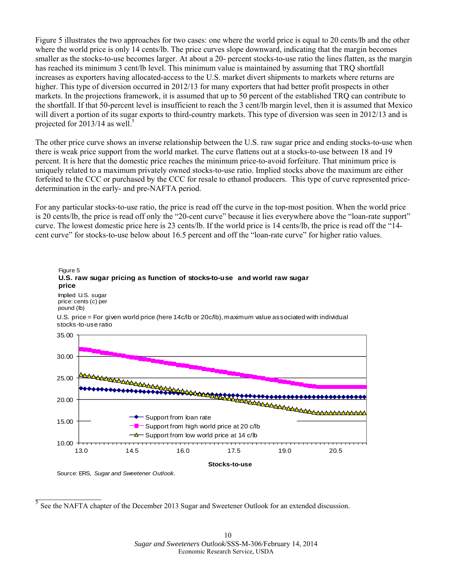Figure 5 illustrates the two approaches for two cases: one where the world price is equal to 20 cents/lb and the other where the world price is only 14 cents/lb. The price curves slope downward, indicating that the margin becomes smaller as the stocks-to-use becomes larger. At about a 20- percent stocks-to-use ratio the lines flatten, as the margin has reached its minimum 3 cent/lb level. This minimum value is maintained by assuming that TRQ shortfall increases as exporters having allocated-access to the U.S. market divert shipments to markets where returns are higher. This type of diversion occurred in 2012/13 for many exporters that had better profit prospects in other markets. In the projections framework, it is assumed that up to 50 percent of the established TRQ can contribute to the shortfall. If that 50-percent level is insufficient to reach the 3 cent/lb margin level, then it is assumed that Mexico will divert a portion of its sugar exports to third-country markets. This type of diversion was seen in 2012/13 and is projected for  $2013/14$  as well.<sup>5</sup>

The other price curve shows an inverse relationship between the U.S. raw sugar price and ending stocks-to-use when there is weak price support from the world market. The curve flattens out at a stocks-to-use between 18 and 19 percent. It is here that the domestic price reaches the minimum price-to-avoid forfeiture. That minimum price is uniquely related to a maximum privately owned stocks-to-use ratio. Implied stocks above the maximum are either forfeited to the CCC or purchased by the CCC for resale to ethanol producers. This type of curve represented pricedetermination in the early- and pre-NAFTA period.

For any particular stocks-to-use ratio, the price is read off the curve in the top-most position. When the world price is 20 cents/lb, the price is read off only the "20-cent curve" because it lies everywhere above the "loan-rate support" curve. The lowest domestic price here is 23 cents/lb. If the world price is 14 cents/lb, the price is read off the "14 cent curve" for stocks-to-use below about 16.5 percent and off the "loan-rate curve" for higher ratio values.



Source: ERS, *Sugar and Sweetener Outlook.*

 $\overline{\phantom{a}}$  , where  $\overline{\phantom{a}}$ 

<sup>&</sup>lt;sup>5</sup> See the NAFTA chapter of the December 2013 Sugar and Sweetener Outlook for an extended discussion.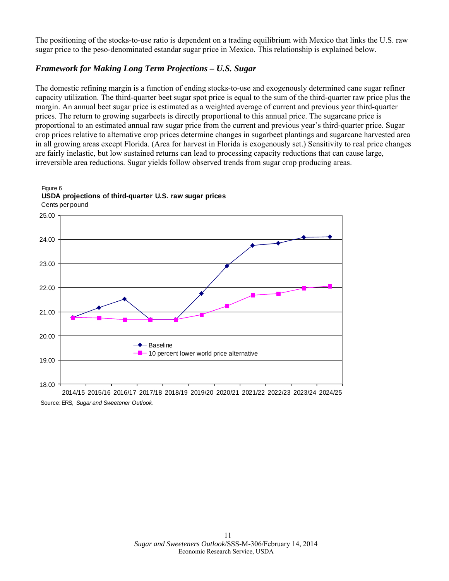The positioning of the stocks-to-use ratio is dependent on a trading equilibrium with Mexico that links the U.S. raw sugar price to the peso-denominated estandar sugar price in Mexico. This relationship is explained below.

# *Framework for Making Long Term Projections – U.S. Sugar*

The domestic refining margin is a function of ending stocks-to-use and exogenously determined cane sugar refiner capacity utilization. The third-quarter beet sugar spot price is equal to the sum of the third-quarter raw price plus the margin. An annual beet sugar price is estimated as a weighted average of current and previous year third-quarter prices. The return to growing sugarbeets is directly proportional to this annual price. The sugarcane price is proportional to an estimated annual raw sugar price from the current and previous year's third-quarter price. Sugar crop prices relative to alternative crop prices determine changes in sugarbeet plantings and sugarcane harvested area in all growing areas except Florida. (Area for harvest in Florida is exogenously set.) Sensitivity to real price changes are fairly inelastic, but low sustained returns can lead to processing capacity reductions that can cause large, irreversible area reductions. Sugar yields follow observed trends from sugar crop producing areas.

#### Cents per pound Figure 6 **USDA projections of third-quarter U.S. raw sugar prices**



2014/15 2015/16 2016/17 2017/18 2018/19 2019/20 2020/21 2021/22 2022/23 2023/24 2024/25 Source: ERS, *Sugar and Sweetener Outlook*.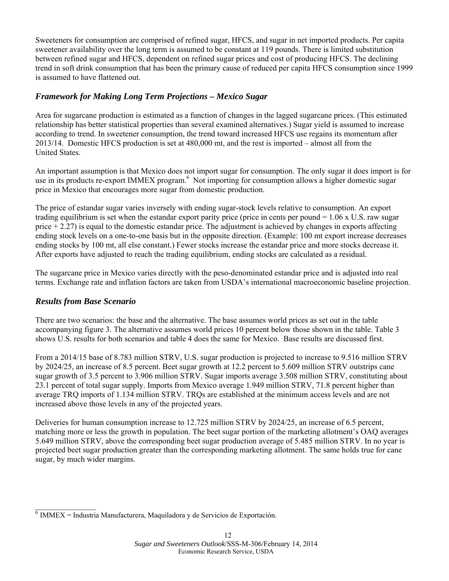Sweeteners for consumption are comprised of refined sugar, HFCS, and sugar in net imported products. Per capita sweetener availability over the long term is assumed to be constant at 119 pounds. There is limited substitution between refined sugar and HFCS, dependent on refined sugar prices and cost of producing HFCS. The declining trend in soft drink consumption that has been the primary cause of reduced per capita HFCS consumption since 1999 is assumed to have flattened out.

# *Framework for Making Long Term Projections – Mexico Sugar*

Area for sugarcane production is estimated as a function of changes in the lagged sugarcane prices. (This estimated relationship has better statistical properties than several examined alternatives.) Sugar yield is assumed to increase according to trend. In sweetener consumption, the trend toward increased HFCS use regains its momentum after 2013/14. Domestic HFCS production is set at 480,000 mt, and the rest is imported – almost all from the United States.

An important assumption is that Mexico does not import sugar for consumption. The only sugar it does import is for use in its products re-export IMMEX program.<sup>6</sup> Not importing for consumption allows a higher domestic sugar price in Mexico that encourages more sugar from domestic production.

The price of estandar sugar varies inversely with ending sugar-stock levels relative to consumption. An export trading equilibrium is set when the estandar export parity price (price in cents per pound = 1.06 x U.S. raw sugar price  $+ 2.27$ ) is equal to the domestic estandar price. The adjustment is achieved by changes in exports affecting ending stock levels on a one-to-one basis but in the opposite direction. (Example: 100 mt export increase decreases ending stocks by 100 mt, all else constant.) Fewer stocks increase the estandar price and more stocks decrease it. After exports have adjusted to reach the trading equilibrium, ending stocks are calculated as a residual.

The sugarcane price in Mexico varies directly with the peso-denominated estandar price and is adjusted into real terms. Exchange rate and inflation factors are taken from USDA's international macroeconomic baseline projection.

### *Results from Base Scenario*

 $\overline{\phantom{a}}$  , where  $\overline{\phantom{a}}$ 

There are two scenarios: the base and the alternative. The base assumes world prices as set out in the table accompanying figure 3. The alternative assumes world prices 10 percent below those shown in the table. Table 3 shows U.S. results for both scenarios and table 4 does the same for Mexico. Base results are discussed first.

From a 2014/15 base of 8.783 million STRV, U.S. sugar production is projected to increase to 9.516 million STRV by 2024/25, an increase of 8.5 percent. Beet sugar growth at 12.2 percent to 5.609 million STRV outstrips cane sugar growth of 3.5 percent to 3.906 million STRV. Sugar imports average 3.508 million STRV, constituting about 23.1 percent of total sugar supply. Imports from Mexico average 1.949 million STRV, 71.8 percent higher than average TRQ imports of 1.134 million STRV. TRQs are established at the minimum access levels and are not increased above those levels in any of the projected years.

Deliveries for human consumption increase to 12.725 million STRV by 2024/25, an increase of 6.5 percent, matching more or less the growth in population. The beet sugar portion of the marketing allotment's OAQ averages 5.649 million STRV, above the corresponding beet sugar production average of 5.485 million STRV. In no year is projected beet sugar production greater than the corresponding marketing allotment. The same holds true for cane sugar, by much wider margins.

 $\overline{6}$  IMMEX = Industria Manufacturera, Maquiladora y de Servicios de Exportación.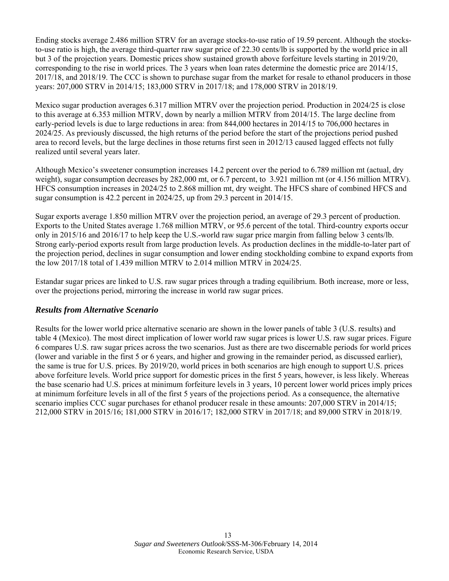Ending stocks average 2.486 million STRV for an average stocks-to-use ratio of 19.59 percent. Although the stocksto-use ratio is high, the average third-quarter raw sugar price of 22.30 cents/lb is supported by the world price in all but 3 of the projection years. Domestic prices show sustained growth above forfeiture levels starting in 2019/20, corresponding to the rise in world prices. The 3 years when loan rates determine the domestic price are 2014/15, 2017/18, and 2018/19. The CCC is shown to purchase sugar from the market for resale to ethanol producers in those years: 207,000 STRV in 2014/15; 183,000 STRV in 2017/18; and 178,000 STRV in 2018/19.

Mexico sugar production averages 6.317 million MTRV over the projection period. Production in 2024/25 is close to this average at 6.353 million MTRV, down by nearly a million MTRV from 2014/15. The large decline from early-period levels is due to large reductions in area: from 844,000 hectares in 2014/15 to 706,000 hectares in 2024/25. As previously discussed, the high returns of the period before the start of the projections period pushed area to record levels, but the large declines in those returns first seen in 2012/13 caused lagged effects not fully realized until several years later.

Although Mexico's sweetener consumption increases 14.2 percent over the period to 6.789 million mt (actual, dry weight), sugar consumption decreases by 282,000 mt, or 6.7 percent, to 3.921 million mt (or 4.156 million MTRV). HFCS consumption increases in 2024/25 to 2.868 million mt, dry weight. The HFCS share of combined HFCS and sugar consumption is 42.2 percent in 2024/25, up from 29.3 percent in 2014/15.

Sugar exports average 1.850 million MTRV over the projection period, an average of 29.3 percent of production. Exports to the United States average 1.768 million MTRV, or 95.6 percent of the total. Third-country exports occur only in 2015/16 and 2016/17 to help keep the U.S.-world raw sugar price margin from falling below 3 cents/lb. Strong early-period exports result from large production levels. As production declines in the middle-to-later part of the projection period, declines in sugar consumption and lower ending stockholding combine to expand exports from the low 2017/18 total of 1.439 million MTRV to 2.014 million MTRV in 2024/25.

Estandar sugar prices are linked to U.S. raw sugar prices through a trading equilibrium. Both increase, more or less, over the projections period, mirroring the increase in world raw sugar prices.

### *Results from Alternative Scenario*

Results for the lower world price alternative scenario are shown in the lower panels of table 3 (U.S. results) and table 4 (Mexico). The most direct implication of lower world raw sugar prices is lower U.S. raw sugar prices. Figure 6 compares U.S. raw sugar prices across the two scenarios. Just as there are two discernable periods for world prices (lower and variable in the first 5 or 6 years, and higher and growing in the remainder period, as discussed earlier), the same is true for U.S. prices. By 2019/20, world prices in both scenarios are high enough to support U.S. prices above forfeiture levels. World price support for domestic prices in the first 5 years, however, is less likely. Whereas the base scenario had U.S. prices at minimum forfeiture levels in 3 years, 10 percent lower world prices imply prices at minimum forfeiture levels in all of the first 5 years of the projections period. As a consequence, the alternative scenario implies CCC sugar purchases for ethanol producer resale in these amounts: 207,000 STRV in 2014/15; 212,000 STRV in 2015/16; 181,000 STRV in 2016/17; 182,000 STRV in 2017/18; and 89,000 STRV in 2018/19.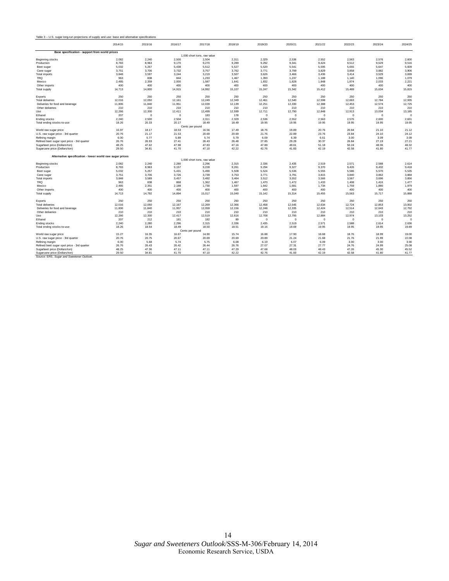| Table 3 - U.S. sugar long-run projections of supply and use: base and alternative specifications |
|--------------------------------------------------------------------------------------------------|
|--------------------------------------------------------------------------------------------------|

|                                                          | 2014/15 | 2015/16  | 2016/17         | 2017/18                     | 2018/19 | 2019/20  | 2020/21    | 2021/22     | 2022/23  | 2023/24     | 2024/25  |
|----------------------------------------------------------|---------|----------|-----------------|-----------------------------|---------|----------|------------|-------------|----------|-------------|----------|
| Base specification - support from world prices           |         |          |                 |                             |         |          |            |             |          |             |          |
|                                                          |         |          |                 | 1.000 short tons, raw value |         |          |            |             |          |             |          |
| Beginning stocks                                         | 2,082   | 2.240    | 2.500           | 2.504                       | 2.311   | 2,329    | 2.536      | 2.552       | 2.563    | 2,576       | 2,600    |
| Production                                               | 8,783   | 8,963    | 9,170           | 9,270                       | 9,289   | 9,292    | 9,341      | 9,424       | 9,512    | 9,529       | 9,516    |
| Beet sugar                                               | 5,032   | 5,257    | 5,438           | 5,512                       | 5,527   | 5,520    | 5,541      | 5,595       | 5,655    | 5,647       | 5,609    |
| Cane sugar                                               | 3,751   | 3,706    | 3,732           | 3,757                       | 3,762   | 3,771    | 3,799      | 3,829       | 3,858    | 3,882       | 3,906    |
| Total imports                                            | 3,848   | 3,597    | 3,244           | 3.219                       | 3,507   | 3.626    | 3.466      | 3,436       | 3,414    | 3,529       | 3,699    |
| <b>TRQ</b>                                               | 963     | 838      | 844             | 1.233                       | 1.467   | 1.393    | 1.237      | 1.188       | 1.140    | 1.096       | 1,079    |
| Mexico                                                   | 2,485   | 2,359    | 2,000           | 1,587                       | 1,641   | 1,832    | 1,828      | 1,848       | 1,874    | 2,033       | 2,221    |
| Other imports                                            | 400     | 400      | 400             | 400                         | 400     | 400      | 400        | 400         | 400      | 400         | 400      |
| <b>Total supply</b>                                      | 14,713  | 14,800   | 14,915          | 14,992                      | 15,107  | 15,247   | 15,342     | 15,412      | 15,489   | 15,634      | 15,815   |
| Exports                                                  | 250     | 250      | 250             | 250                         | 250     | 250      | 250        | 250         | 250      | 250         | 250      |
| <b>Total deliveries</b>                                  | 12,016  | 12,050   | 12,161          | 12.249                      | 12,349  | 12,461   | 12.540     | 12.598      | 12,663   | 12,784      | 12,935   |
| Deliveries for food and beverage                         | 11,806  | 11,840   | 11,951          | 12.039                      | 12,139  | 12,251   | 12,330     | 12,388      | 12.453   | 12.574      | 12,725   |
| Other deliveries                                         | 210     | 210      | 210             | 210                         | 210     | 210      | 210        | 210         | 210      | 210         | 210      |
| Use                                                      | 12,266  | 12,300   | 12,411          | 12,499                      | 12,599  | 12,711   | 12,790     | 12,848      | 12,913   | 13,034      | 13,185   |
| Ethanol                                                  | 207     | $\Omega$ | $\mathbf 0$     | 183                         | 178     | $\Omega$ | $^{\circ}$ | $\mathbf 0$ | $\circ$  | $\mathbf 0$ | $\Omega$ |
| <b>Ending stocks</b>                                     | 2.240   | 2.500    | 2.504           | 2.311                       | 2.329   | 2.536    | 2.552      | 2.563       | 2.576    | 2.600       | 2,631    |
| Total ending stocks-to-use                               | 18.26   | 20.33    | 20.17           | 18.49                       | 18.49   | 19.95    | 19.95      | 19.95       | 19.95    | 19.95       | 19.95    |
|                                                          |         |          |                 | Cents per pound             |         |          |            |             |          |             |          |
| World raw sugar price                                    | 16.97   | 18.17    | 18.53           | 16.56                       | 17.49   | 18.76    | 19.89      | 20.76       | 20.84    | 21.10       | 21.12    |
| U.S. raw sugar price - 3rd quarter                       | 20.76   | 21.17    | 21.53           | 20.69                       | 20.69   | 21.76    | 22.89      | 23.76       | 23.84    | 24.10       | 24.12    |
| Refining margin                                          | 6.00    | 5.77     | 5.89            | 5.74                        | 5.79    | 6.09     | 6.39       | 6.61        | 3.00     | 3.09        | 3.09     |
| Refined beet sugar spot price - 3rd quarter              | 26.76   | 26.93    | 27.41           | 26.43                       | 26.48   | 27.85    | 29.29      | 30.37       | 26.84    | 27.19       | 27.21    |
| Sugarbeet price (Dollars/ton)                            | 48.25   | 47.62    | 47.98           | 47.83                       | 47.16   | 47.89    | 49.61      | 51.18       | 50.24    | 48.06       | 48.32    |
| Sugarcane price (Dollars/ton)                            | 29.50   | 34.81    | 41.70           | 47.10                       | 42.22   | 42.76    | 41.83      | 42.19       | 42.58    | 41.80       | 41.77    |
| Alternative specification - lower world raw sugar prices |         |          |                 |                             |         |          |            |             |          |             |          |
|                                                          |         |          |                 | 1,000 short tons, raw value |         |          |            |             |          |             |          |
| Beginning stocks                                         | 2,082   | 2.240    | 2,280           | 2.296                       | 2,315   | 2,336    | 2.435      | 2,519       | 2.571    | 2,588       | 2,614    |
| Production                                               | 8,783   | 8.963    | 9.157           | 9.228                       | 9.261   | 9.294    | 9.327      | 9.370       | 9.426    | 9.432       | 9,418    |
| Beet sugar                                               | 5,032   | 5,257    | 5,431           | 5,490                       | 5,508   | 5,524    | 5,536      | 5,555       | 5,586    | 5,570       | 5,535    |
| Cane sugar                                               | 3,751   | 3,706    | 3.726           | 3.739                       | 3.753   | 3.771    | 3.791      | 3.815       | 3,840    | 3.862       | 3,884    |
| Total imports                                            | 3,848   | 3,589    | 3,457           | 3.492                       | 3.464   | 3.512    | 3.552      | 3,566       | 3,567    | 3,696       | 3,856    |
| <b>TRQ</b>                                               | 963     | 838      | 868             | 1,362                       | 1,467   | 1,470    | 1,472      | 1,433       | 1,408    | 1,416       | 1,477    |
| Mexico                                                   | 2.485   | 2,351    | 2.188           | 1.730                       | 1,597   | 1.642    | 1.681      | 1,734       | 1.759    | 1.880       | 1.979    |
| Other imports                                            | 400     | 400      | 400             | 400                         | 400     | 400      | 400        | 400         | 400      | 400         | 400      |
| <b>Total supply</b>                                      | 14,713  | 14,792   | 14,894          | 15,017                      | 15,040  | 15,142   | 15,314     | 15,455      | 15,563   | 15,717      | 15,888   |
| Exports                                                  | 250     | 250      | 250             | 250                         | 250     | 250      | 250        | 250         | 250      | 250         | 250      |
| <b>Total deliveries</b>                                  | 12,016  | 12,050   | 12,167          | 12,269                      | 12,366  | 12,458   | 12,545     | 12,634      | 12,724   | 12,853      | 13,002   |
| Deliveries for food and beverage                         | 11,806  | 11,840   | 11,957          | 12.059                      | 12.156  | 12,248   | 12,335     | 12,424      | 12,514   | 12.643      | 12,792   |
| Other deliveries                                         | 210     | 210      | 210             | 210                         | 210     | 210      | 210        | 210         | 210      | 210         | 210      |
| Use                                                      | 12,266  | 12,300   | 12.417          | 12,519                      | 12.616  | 12.708   | 12,795     | 12,884      | 12,974   | 13,103      | 13,252   |
| Ethanol                                                  | 207     | 212      | 181             | 182                         | 89      | $\Omega$ | $\Omega$   | $\Omega$    | $\Omega$ | $\mathbf 0$ | $\Omega$ |
| Ending stocks                                            | 2,240   | 2,280    | 2,296           | 2,315                       | 2,336   | 2,435    | 2,519      | 2,571       | 2,588    | 2,614       | 2,636    |
| Total ending stocks-to-use                               | 18.26   | 18.54    | 18.49           | 18.50                       | 18.51   | 19.16    | 19.69      | 19.95       | 19.95    | 19.95       | 19.89    |
|                                                          |         |          | Cents per pound |                             |         |          |            |             |          |             |          |
| World raw sugar price                                    | 15.27   | 16.35    | 16.67           | 14.90                       | 15.74   | 16.88    | 17.90      | 18.68       | 18.76    | 18.99       | 19.00    |
| U.S. raw sugar price - 3rd quarter                       | 20.76   | 20.75    | 20.67           | 20.69                       | 20.69   | 20.89    | 21.24      | 21.68       | 21.76    | 21.99       | 22.08    |
| Refining margin                                          | 6.00    | 5.68     | 5.74            | 5.75                        | 6.08    | 6.19     | 6.07       | 6.09        | 3.00     | 3.00        | 3.00     |
| Refined beet sugar spot price - 3rd quarter              | 26.76   | 26.43    | 26.42           | 26.44                       | 26.76   | 27.07    | 27.31      | 27.77       | 24.76    | 24.99       | 25.08    |
| Sugarbeet price (Dollars/ton)                            | 48.25   | 47.36    | 47.11           | 47.11                       | 47.29   | 47.68    | 48.03      | 48.43       | 47.26    | 45.30       | 45.52    |
| Sugarcane price (Dollars/ton)                            | 29.50   | 34.81    | 41.70           | 47.10                       | 42.22   | 42.76    | 41.83      | 42.19       | 42.58    | 41.80       | 41.77    |
| Source: ERS, Sugar and Sweetener Outlook                 |         |          |                 |                             |         |          |            |             |          |             |          |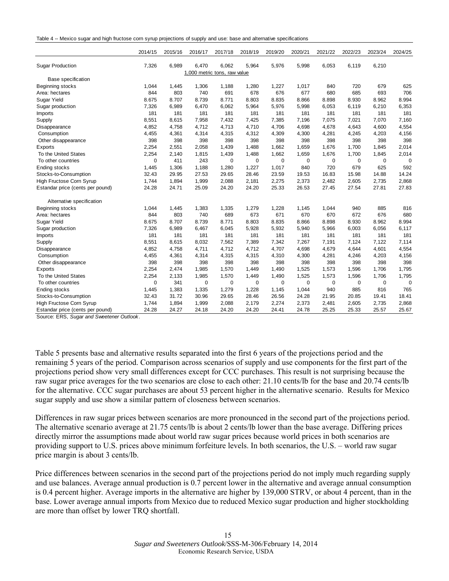|  |  |  |  | Table 4 -- Mexico sugar and high fructose corn syrup projections of supply and use: base and alternative specifications |
|--|--|--|--|-------------------------------------------------------------------------------------------------------------------------|
|--|--|--|--|-------------------------------------------------------------------------------------------------------------------------|

|                                  | 2014/15     | 2015/16 | 2016/17                      | 2017/18     | 2018/19     | 2019/20 | 2020/21 | 2021/22     | 2022/23 | 2023/24 | 2024/25     |
|----------------------------------|-------------|---------|------------------------------|-------------|-------------|---------|---------|-------------|---------|---------|-------------|
| <b>Sugar Production</b>          | 7,326       | 6,989   | 6,470                        | 6,062       | 5,964       | 5,976   | 5,998   | 6,053       | 6,119   | 6,210   |             |
|                                  |             |         | 1,000 metric tons, raw value |             |             |         |         |             |         |         |             |
| <b>Base specification</b>        |             |         |                              |             |             |         |         |             |         |         |             |
| Beginning stocks                 | 1,044       | 1,445   | 1,306                        | 1,188       | 1,280       | 1,227   | 1,017   | 840         | 720     | 679     | 625         |
| Area: hectares                   | 844         | 803     | 740                          | 691         | 678         | 676     | 677     | 680         | 685     | 693     | 706         |
| Sugar Yield                      | 8.675       | 8.707   | 8.739                        | 8.771       | 8.803       | 8.835   | 8.866   | 8.898       | 8.930   | 8.962   | 8.994       |
| Sugar production                 | 7,326       | 6,989   | 6,470                        | 6,062       | 5,964       | 5,976   | 5,998   | 6,053       | 6,119   | 6,210   | 6,353       |
| Imports                          | 181         | 181     | 181                          | 181         | 181         | 181     | 181     | 181         | 181     | 181     | 181         |
| Supply                           | 8,551       | 8,615   | 7,958                        | 7,432       | 7,425       | 7,385   | 7,196   | 7,075       | 7,021   | 7,070   | 7,160       |
| Disappearance                    | 4,852       | 4,758   | 4,712                        | 4.713       | 4,710       | 4,706   | 4,698   | 4,678       | 4,643   | 4,600   | 4,554       |
| Consumption                      | 4,455       | 4,361   | 4,314                        | 4,315       | 4,312       | 4,309   | 4,300   | 4,281       | 4,245   | 4,203   | 4,156       |
| Other disappearance              | 398         | 398     | 398                          | 398         | 398         | 398     | 398     | 398         | 398     | 398     | 398         |
| Exports                          | 2,254       | 2,551   | 2,058                        | 1,439       | 1,488       | 1,662   | 1,659   | 1,676       | 1,700   | 1,845   | 2,014       |
| To the United States             | 2,254       | 2,140   | 1,815                        | 1,439       | 1,488       | 1,662   | 1,659   | 1,676       | 1,700   | 1,845   | 2,014       |
| To other countries               | $\mathbf 0$ | 411     | 243                          | $\mathbf 0$ | $\mathbf 0$ | 0       | 0       | $\mathbf 0$ | 0       | 0       | 0           |
| Ending stocks                    | 1,445       | 1,306   | 1,188                        | 1,280       | 1,227       | 1,017   | 840     | 720         | 679     | 625     | 592         |
| Stocks-to-Consumption            | 32.43       | 29.95   | 27.53                        | 29.65       | 28.46       | 23.59   | 19.53   | 16.83       | 15.98   | 14.88   | 14.24       |
| High Fructose Corn Syrup         | 1,744       | 1,894   | 1,999                        | 2,088       | 2,181       | 2,275   | 2,373   | 2,482       | 2,605   | 2,735   | 2,868       |
| Estandar price (cents per pound) | 24.28       | 24.71   | 25.09                        | 24.20       | 24.20       | 25.33   | 26.53   | 27.45       | 27.54   | 27.81   | 27.83       |
| Alternative specification        |             |         |                              |             |             |         |         |             |         |         |             |
| Beginning stocks                 | 1,044       | 1,445   | 1,383                        | 1,335       | 1,279       | 1,228   | 1,145   | 1,044       | 940     | 885     | 816         |
| Area: hectares                   | 844         | 803     | 740                          | 689         | 673         | 671     | 670     | 670         | 672     | 676     | 680         |
| Sugar Yield                      | 8.675       | 8.707   | 8.739                        | 8.771       | 8.803       | 8.835   | 8.866   | 8.898       | 8.930   | 8.962   | 8.994       |
| Sugar production                 | 7,326       | 6,989   | 6,467                        | 6,045       | 5,928       | 5,932   | 5,940   | 5,966       | 6,003   | 6,056   | 6,117       |
| Imports                          | 181         | 181     | 181                          | 181         | 181         | 181     | 181     | 181         | 181     | 181     | 181         |
| Supply                           | 8,551       | 8,615   | 8,032                        | 7,562       | 7,389       | 7,342   | 7,267   | 7,191       | 7,124   | 7,122   | 7,114       |
| Disappearance                    | 4,852       | 4,758   | 4,711                        | 4,712       | 4,712       | 4,707   | 4,698   | 4,679       | 4,644   | 4,601   | 4,554       |
| Consumption                      | 4,455       | 4,361   | 4,314                        | 4,315       | 4,315       | 4,310   | 4,300   | 4,281       | 4,246   | 4,203   | 4,156       |
| Other disappearance              | 398         | 398     | 398                          | 398         | 398         | 398     | 398     | 398         | 398     | 398     | 398         |
| Exports                          | 2,254       | 2,474   | 1,985                        | 1,570       | 1,449       | 1,490   | 1,525   | 1,573       | 1,596   | 1,706   | 1,795       |
| To the United States             | 2,254       | 2,133   | 1,985                        | 1,570       | 1,449       | 1,490   | 1,525   | 1,573       | 1,596   | 1,706   | 1,795       |
| To other countries               | $\mathbf 0$ | 341     | 0                            | $\mathbf 0$ | 0           | 0       | 0       | 0           | 0       | 0       | $\mathbf 0$ |
| Ending stocks                    | 1,445       | 1,383   | 1,335                        | 1,279       | 1,228       | 1,145   | 1,044   | 940         | 885     | 816     | 765         |
| Stocks-to-Consumption            | 32.43       | 31.72   | 30.96                        | 29.65       | 28.46       | 26.56   | 24.28   | 21.95       | 20.85   | 19.41   | 18.41       |
| High Fructose Corn Syrup         | 1,744       | 1,894   | 1,999                        | 2,088       | 2,179       | 2,274   | 2,373   | 2,481       | 2,605   | 2,735   | 2,868       |
| Estandar price (cents per pound) | 24.28       | 24.27   | 24.18                        | 24.20       | 24.20       | 24.41   | 24.78   | 25.25       | 25.33   | 25.57   | 25.67       |

Source: ERS, *Sugar and Sweetener Outlook.*

Table 5 presents base and alternative results separated into the first 6 years of the projections period and the remaining 5 years of the period. Comparison across scenarios of supply and use components for the first part of the projections period show very small differences except for CCC purchases. This result is not surprising because the raw sugar price averages for the two scenarios are close to each other: 21.10 cents/lb for the base and 20.74 cents/lb for the alternative. CCC sugar purchases are about 53 percent higher in the alternative scenario. Results for Mexico sugar supply and use show a similar pattern of closeness between scenarios.

Differences in raw sugar prices between scenarios are more pronounced in the second part of the projections period. The alternative scenario average at 21.75 cents/lb is about 2 cents/lb lower than the base average. Differing prices directly mirror the assumptions made about world raw sugar prices because world prices in both scenarios are providing support to U.S. prices above minimum forfeiture levels. In both scenarios, the U.S. – world raw sugar price margin is about 3 cents/lb.

Price differences between scenarios in the second part of the projections period do not imply much regarding supply and use balances. Average annual production is 0.7 percent lower in the alternative and average annual consumption is 0.4 percent higher. Average imports in the alternative are higher by 139,000 STRV, or about 4 percent, than in the base. Lower average annual imports from Mexico due to reduced Mexico sugar production and higher stockholding are more than offset by lower TRQ shortfall.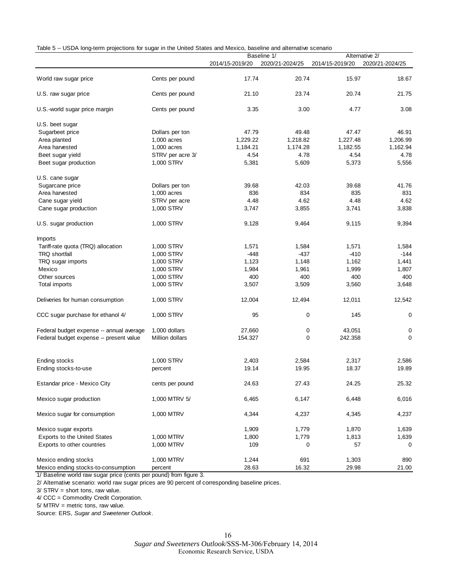|  |  |  | Table 5 -- USDA long-term projections for sugar in the United States and Mexico, baseline and alternative scenario |
|--|--|--|--------------------------------------------------------------------------------------------------------------------|
|  |  |  |                                                                                                                    |

| ooph iong tomm projections for sugar in the onlited otates and mexico, |                  |                 | <b>Dascritic and alternative secriance</b><br>Baseline 1/ |                 | Alternative 2/  |
|------------------------------------------------------------------------|------------------|-----------------|-----------------------------------------------------------|-----------------|-----------------|
|                                                                        |                  | 2014/15-2019/20 | 2020/21-2024/25                                           | 2014/15-2019/20 | 2020/21-2024/25 |
| World raw sugar price                                                  | Cents per pound  | 17.74           | 20.74                                                     | 15.97           | 18.67           |
| U.S. raw sugar price                                                   | Cents per pound  | 21.10           | 23.74                                                     | 20.74           | 21.75           |
| U.S. world sugar price margin                                          | Cents per pound  | 3.35            | 3.00                                                      | 4.77            | 3.08            |
| U.S. beet sugar                                                        |                  |                 |                                                           |                 |                 |
| Sugarbeet price                                                        | Dollars per ton  | 47.79           | 49.48                                                     | 47.47           | 46.91           |
| Area planted                                                           | 1,000 acres      | 1,229.22        | 1,218.82                                                  | 1,227.48        | 1,206.99        |
| Area harvested                                                         | $1,000$ acres    | 1,184.21        | 1,174.28                                                  | 1,182.55        | 1,162.94        |
| Beet sugar yield                                                       | STRV per acre 3/ | 4.54            | 4.78                                                      | 4.54            | 4.78            |
| Beet sugar production                                                  | 1,000 STRV       | 5,381           | 5,609                                                     | 5,373           | 5,556           |
| U.S. cane sugar                                                        |                  |                 |                                                           |                 |                 |
| Sugarcane price                                                        | Dollars per ton  | 39.68           | 42.03                                                     | 39.68           | 41.76           |
| Area harvested                                                         | 1,000 acres      | 836             | 834                                                       | 835             | 831             |
| Cane sugar yield                                                       | STRV per acre    | 4.48            | 4.62                                                      | 4.48            | 4.62            |
| Cane sugar production                                                  | 1,000 STRV       | 3,747           | 3,855                                                     | 3,741           | 3,838           |
| U.S. sugar production                                                  | 1,000 STRV       | 9,128           | 9,464                                                     | 9,115           | 9,394           |
| <b>Imports</b>                                                         |                  |                 |                                                           |                 |                 |
| Tariff-rate quota (TRQ) allocation                                     | 1,000 STRV       | 1,571           | 1,584                                                     | 1,571           | 1,584           |
| <b>TRQ shortfall</b>                                                   | 1,000 STRV       | $-448$          | $-437$                                                    | $-410$          | $-144$          |
| TRQ sugar imports                                                      | 1,000 STRV       | 1,123           | 1,148                                                     | 1,162           | 1,441           |
| Mexico                                                                 | 1,000 STRV       | 1,984           | 1,961                                                     | 1,999           | 1,807           |
| Other sources                                                          | 1,000 STRV       | 400             | 400                                                       | 400             | 400             |
| Total imports                                                          | 1,000 STRV       | 3,507           | 3,509                                                     | 3,560           | 3,648           |
| Deliveries for human consumption                                       | 1,000 STRV       | 12,004          | 12,494                                                    | 12,011          | 12,542          |
| CCC sugar purchase for ethanol 4/                                      | 1,000 STRV       | 95              | 0                                                         | 145             | 0               |
| Federal budget expense -- annual average                               | 1,000 dollars    | 27,660          | 0                                                         | 43,051          | 0               |
| Federal budget expense -- present value                                | Million dollars  | 154.327         | 0                                                         | 242.358         | 0               |
|                                                                        |                  |                 |                                                           |                 |                 |
| Ending stocks                                                          | 1,000 STRV       | 2,403           | 2,584                                                     | 2,317           | 2,586           |
| Ending stocks-to-use                                                   | percent          | 19.14           | 19.95                                                     | 18.37           | 19.89           |
| Estandar price - Mexico City                                           | cents per pound  | 24.63           | 27.43                                                     | 24.25           | 25.32           |
| Mexico sugar production                                                | 1,000 MTRV 5/    | 6,465           | 6,147                                                     | 6,448           | 6,016           |
| Mexico sugar for consumption                                           | 1,000 MTRV       | 4,344           | 4,237                                                     | 4,345           | 4,237           |
| Mexico sugar exports                                                   |                  | 1,909           | 1,779                                                     | 1,870           | 1,639           |
| <b>Exports to the United States</b>                                    | 1,000 MTRV       | 1,800           | 1,779                                                     | 1,813           | 1,639           |
| Exports to other countries                                             | 1,000 MTRV       | 109             | 0                                                         | 57              | 0               |
| Mexico ending stocks                                                   | 1,000 MTRV       | 1,244           | 691                                                       | 1,303           | 890             |
| Mexico ending stocks-to-consumption                                    | percent          | 28.63           | 16.32                                                     | 29.98           | 21.00           |

1/ Baseline world raw sugar price (cents per pound) from figure 3.

2/ Alternative scenario: world raw sugar prices are 90 percent of corresponding baseline prices.

3/ STRV = short tons, raw value.

4/ CCC = Commodity Credit Corporation.

5/ MTRV = metric tons, raw value.

Source: ERS, *Sugar and Sweetener Outlook.*

*Sugar and Sweeteners Outlook*/SSS-M-306/February 14, 2014 Economic Research Service, USDA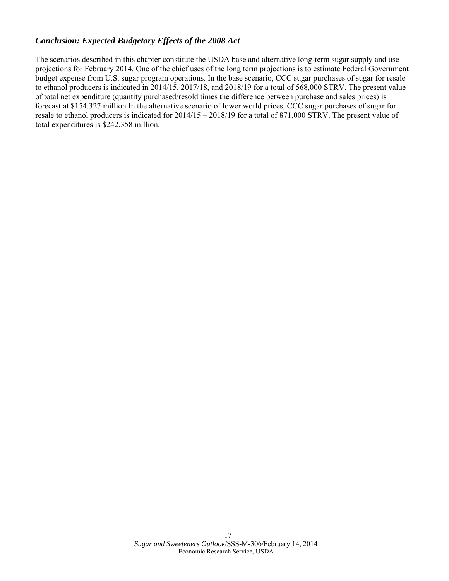## *Conclusion: Expected Budgetary Effects of the 2008 Act*

The scenarios described in this chapter constitute the USDA base and alternative long-term sugar supply and use projections for February 2014. One of the chief uses of the long term projections is to estimate Federal Government budget expense from U.S. sugar program operations. In the base scenario, CCC sugar purchases of sugar for resale to ethanol producers is indicated in 2014/15, 2017/18, and 2018/19 for a total of 568,000 STRV. The present value of total net expenditure (quantity purchased/resold times the difference between purchase and sales prices) is forecast at \$154.327 million In the alternative scenario of lower world prices, CCC sugar purchases of sugar for resale to ethanol producers is indicated for 2014/15 – 2018/19 for a total of 871,000 STRV. The present value of total expenditures is \$242.358 million.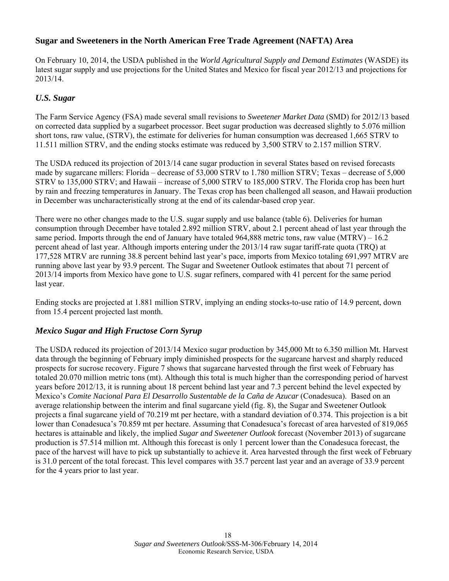# **Sugar and Sweeteners in the North American Free Trade Agreement (NAFTA) Area**

On February 10, 2014, the USDA published in the *World Agricultural Supply and Demand Estimates* (WASDE) its latest sugar supply and use projections for the United States and Mexico for fiscal year 2012/13 and projections for 2013/14.

### *U.S. Sugar*

The Farm Service Agency (FSA) made several small revisions to *Sweetener Market Data* (SMD) for 2012/13 based on corrected data supplied by a sugarbeet processor. Beet sugar production was decreased slightly to 5.076 million short tons, raw value, (STRV), the estimate for deliveries for human consumption was decreased 1,665 STRV to 11.511 million STRV, and the ending stocks estimate was reduced by 3,500 STRV to 2.157 million STRV.

The USDA reduced its projection of 2013/14 cane sugar production in several States based on revised forecasts made by sugarcane millers: Florida – decrease of 53,000 STRV to 1.780 million STRV; Texas – decrease of 5,000 STRV to 135,000 STRV; and Hawaii – increase of 5,000 STRV to 185,000 STRV. The Florida crop has been hurt by rain and freezing temperatures in January. The Texas crop has been challenged all season, and Hawaii production in December was uncharacteristically strong at the end of its calendar-based crop year.

There were no other changes made to the U.S. sugar supply and use balance (table 6). Deliveries for human consumption through December have totaled 2.892 million STRV, about 2.1 percent ahead of last year through the same period. Imports through the end of January have totaled  $964,888$  metric tons, raw value (MTRV) – 16.2 percent ahead of last year. Although imports entering under the 2013/14 raw sugar tariff-rate quota (TRQ) at 177,528 MTRV are running 38.8 percent behind last year's pace, imports from Mexico totaling 691,997 MTRV are running above last year by 93.9 percent. The Sugar and Sweetener Outlook estimates that about 71 percent of 2013/14 imports from Mexico have gone to U.S. sugar refiners, compared with 41 percent for the same period last year.

Ending stocks are projected at 1.881 million STRV, implying an ending stocks-to-use ratio of 14.9 percent, down from 15.4 percent projected last month.

### *Mexico Sugar and High Fructose Corn Syrup*

The USDA reduced its projection of 2013/14 Mexico sugar production by 345,000 Mt to 6.350 million Mt. Harvest data through the beginning of February imply diminished prospects for the sugarcane harvest and sharply reduced prospects for sucrose recovery. Figure 7 shows that sugarcane harvested through the first week of February has totaled 20.070 million metric tons (mt). Although this total is much higher than the corresponding period of harvest years before 2012/13, it is running about 18 percent behind last year and 7.3 percent behind the level expected by Mexico's *Comite Nacional Para El Desarrollo Sustentable de la Caña de Azucar* (Conadesuca). Based on an average relationship between the interim and final sugarcane yield (fig. 8), the Sugar and Sweetener Outlook projects a final sugarcane yield of 70.219 mt per hectare, with a standard deviation of 0.374. This projection is a bit lower than Conadesuca's 70.859 mt per hectare. Assuming that Conadesuca's forecast of area harvested of 819,065 hectares is attainable and likely, the implied *Sugar and Sweetener Outlook* forecast (November 2013) of sugarcane production is 57.514 million mt. Although this forecast is only 1 percent lower than the Conadesuca forecast, the pace of the harvest will have to pick up substantially to achieve it. Area harvested through the first week of February is 31.0 percent of the total forecast. This level compares with 35.7 percent last year and an average of 33.9 percent for the 4 years prior to last year.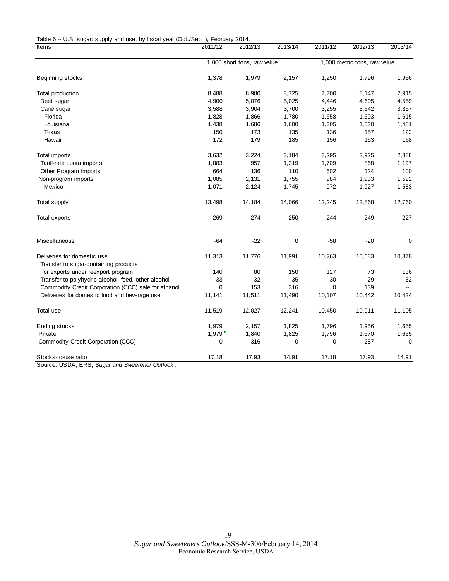Table 6 -- U.S. sugar: supply and use, by fiscal year (Oct./Sept.), February 2014.

| Items                                                                | 2011/12  | 2012/13                     | 2013/14     | 2011/12  | 2012/13                      | 2013/14     |
|----------------------------------------------------------------------|----------|-----------------------------|-------------|----------|------------------------------|-------------|
|                                                                      |          | 1,000 short tons, raw value |             |          | 1,000 metric tons, raw value |             |
| Beginning stocks                                                     | 1,378    | 1,979                       | 2,157       | 1,250    | 1,796                        | 1,956       |
| Total production                                                     | 8,488    | 8,980                       | 8,725       | 7,700    | 8,147                        | 7,915       |
| Beet sugar                                                           | 4,900    | 5,076                       | 5,025       | 4,446    | 4,605                        | 4,559       |
| Cane sugar                                                           | 3,588    | 3,904                       | 3,700       | 3,255    | 3,542                        | 3,357       |
| Florida                                                              | 1,828    | 1,866                       | 1,780       | 1,658    | 1,693                        | 1,615       |
| Louisiana                                                            | 1,438    | 1,686                       | 1,600       | 1,305    | 1,530                        | 1,451       |
| Texas                                                                | 150      | 173                         | 135         | 136      | 157                          | 122         |
| Hawaii                                                               | 172      | 179                         | 185         | 156      | 163                          | 168         |
| Total imports                                                        | 3,632    | 3,224                       | 3,184       | 3,295    | 2,925                        | 2,888       |
| Tariff-rate quota imports                                            | 1,883    | 957                         | 1,319       | 1,709    | 868                          | 1,197       |
| Other Program Imports                                                | 664      | 136                         | 110         | 602      | 124                          | 100         |
| Non-program imports                                                  | 1,085    | 2,131                       | 1,755       | 984      | 1,933                        | 1,592       |
| Mexico                                                               | 1,071    | 2,124                       | 1,745       | 972      | 1,927                        | 1,583       |
| Total supply                                                         | 13,498   | 14,184                      | 14,066      | 12,245   | 12,868                       | 12,760      |
| Total exports                                                        | 269      | 274                         | 250         | 244      | 249                          | 227         |
| Miscellaneous                                                        | $-64$    | $-22$                       | 0           | $-58$    | $-20$                        | 0           |
| Deliveries for domestic use<br>Transfer to sugar-containing products | 11,313   | 11,776                      | 11,991      | 10,263   | 10,683                       | 10,878      |
| for exports under reexport program                                   | 140      | 80                          | 150         | 127      | 73                           | 136         |
| Transfer to polyhydric alcohol, feed, other alcohol                  | 33       | 32                          | 35          | 30       | 29                           | 32          |
| Commodity Credit Corporation (CCC) sale for ethanol                  | $\Omega$ | 153                         | 316         | $\Omega$ | 139                          |             |
| Deliveries for domestic food and beverage use                        | 11,141   | 11,511                      | 11,490      | 10,107   | 10,442                       | 10,424      |
| Total use                                                            | 11,519   | 12,027                      | 12,241      | 10,450   | 10,911                       | 11,105      |
| Ending stocks                                                        | 1,979    | 2,157                       | 1,825       | 1,796    | 1,956                        | 1,655       |
| Private                                                              | 1,979    | 1,840                       | 1,825       | 1,796    | 1,670                        | 1,655       |
| Commodity Credit Corporation (CCC)                                   | 0        | 316                         | $\mathbf 0$ | 0        | 287                          | $\mathbf 0$ |
| Stocks-to-use ratio                                                  | 17.18    | 17.93                       | 14.91       | 17.18    | 17.93                        | 14.91       |

Source: USDA, ERS, *Sugar and Sweetener Outlook* .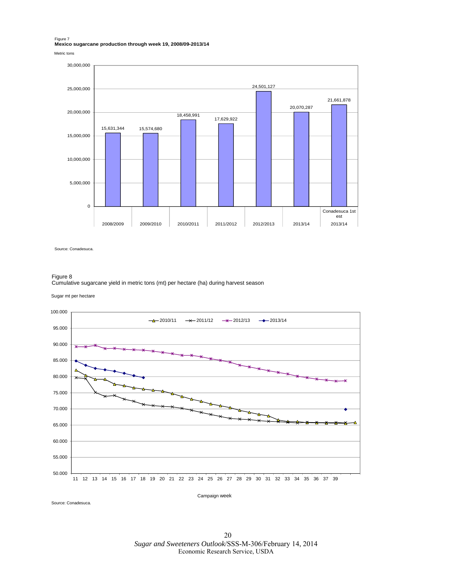Figure 7 **Mexico sugarcane production through week 19, 2008/09-2013/14**

Metric tons



Source: Conadesuca.

#### Figure 8

Cumulative sugarcane yield in metric tons (mt) per hectare (ha) during harvest season

Sugar mt per hectare



Source: Conadesuca.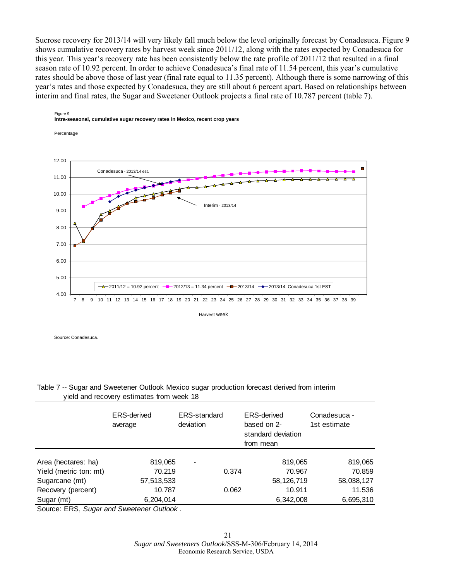Sucrose recovery for 2013/14 will very likely fall much below the level originally forecast by Conadesuca. Figure 9 shows cumulative recovery rates by harvest week since 2011/12, along with the rates expected by Conadesuca for this year. This year's recovery rate has been consistently below the rate profile of 2011/12 that resulted in a final season rate of 10.92 percent. In order to achieve Conadesuca's final rate of 11.54 percent, this year's cumulative rates should be above those of last year (final rate equal to 11.35 percent). Although there is some narrowing of this year's rates and those expected by Conadesuca, they are still about 6 percent apart. Based on relationships between interim and final rates, the Sugar and Sweetener Outlook projects a final rate of 10.787 percent (table 7).



#### Figure 9 **Intra-seasonal, cumulative sugar recovery rates in Mexico, recent crop years**

Source: Conadesuca.

Table 7 -- Sugar and Sweetener Outlook Mexico sugar production forecast derived from interim yield and recovery estimates from week 18

|                          | <b>ERS-derived</b><br>average | <b>ERS-standard</b><br>deviation | <b>ERS-derived</b><br>based on 2-<br>standard deviation<br>from mean |            | Conadesuca -<br>1st estimate |
|--------------------------|-------------------------------|----------------------------------|----------------------------------------------------------------------|------------|------------------------------|
| Area (hectares: ha)      | 819,065                       | -                                |                                                                      | 819,065    | 819,065                      |
| Yield (metric ton: mt)   | 70.219                        |                                  | 0.374                                                                | 70.967     | 70.859                       |
| Sugarcane (mt)           | 57,513,533                    |                                  |                                                                      | 58,126,719 | 58,038,127                   |
| Recovery (percent)       | 10.787                        |                                  | 0.062                                                                | 10.911     | 11.536                       |
| Sugar (mt)               | 6,204,014                     |                                  |                                                                      | 6,342,008  | 6,695,310                    |
| $\sim$<br>$ \sim$ $\sim$ | $\sim$<br>.                   |                                  |                                                                      |            |                              |

Source: ERS, *Sugar and Sweetener Outlook* .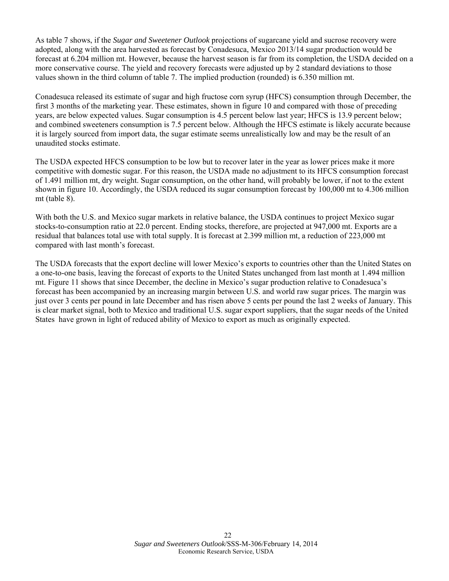As table 7 shows, if the *Sugar and Sweetener Outlook* projections of sugarcane yield and sucrose recovery were adopted, along with the area harvested as forecast by Conadesuca, Mexico 2013/14 sugar production would be forecast at 6.204 million mt. However, because the harvest season is far from its completion, the USDA decided on a more conservative course. The yield and recovery forecasts were adjusted up by 2 standard deviations to those values shown in the third column of table 7. The implied production (rounded) is 6.350 million mt.

Conadesuca released its estimate of sugar and high fructose corn syrup (HFCS) consumption through December, the first 3 months of the marketing year. These estimates, shown in figure 10 and compared with those of preceding years, are below expected values. Sugar consumption is 4.5 percent below last year; HFCS is 13.9 percent below; and combined sweeteners consumption is 7.5 percent below. Although the HFCS estimate is likely accurate because it is largely sourced from import data, the sugar estimate seems unrealistically low and may be the result of an unaudited stocks estimate.

The USDA expected HFCS consumption to be low but to recover later in the year as lower prices make it more competitive with domestic sugar. For this reason, the USDA made no adjustment to its HFCS consumption forecast of 1.491 million mt, dry weight. Sugar consumption, on the other hand, will probably be lower, if not to the extent shown in figure 10. Accordingly, the USDA reduced its sugar consumption forecast by 100,000 mt to 4.306 million mt (table 8).

With both the U.S. and Mexico sugar markets in relative balance, the USDA continues to project Mexico sugar stocks-to-consumption ratio at 22.0 percent. Ending stocks, therefore, are projected at 947,000 mt. Exports are a residual that balances total use with total supply. It is forecast at 2.399 million mt, a reduction of 223,000 mt compared with last month's forecast.

The USDA forecasts that the export decline will lower Mexico's exports to countries other than the United States on a one-to-one basis, leaving the forecast of exports to the United States unchanged from last month at 1.494 million mt. Figure 11 shows that since December, the decline in Mexico's sugar production relative to Conadesuca's forecast has been accompanied by an increasing margin between U.S. and world raw sugar prices. The margin was just over 3 cents per pound in late December and has risen above 5 cents per pound the last 2 weeks of January. This is clear market signal, both to Mexico and traditional U.S. sugar export suppliers, that the sugar needs of the United States have grown in light of reduced ability of Mexico to export as much as originally expected.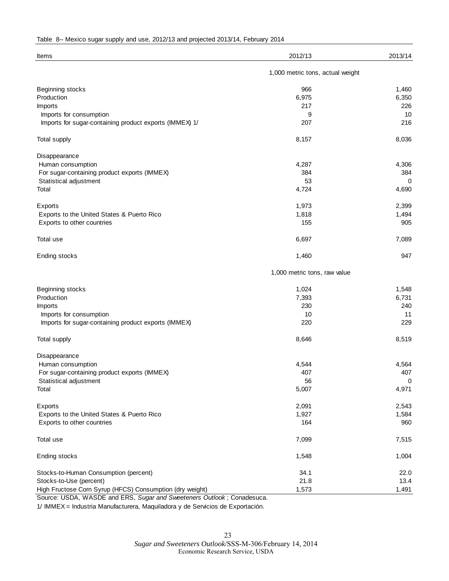|  |  |  |  | Table 8-- Mexico sugar supply and use, 2012/13 and projected 2013/14, February 2014 |  |
|--|--|--|--|-------------------------------------------------------------------------------------|--|
|--|--|--|--|-------------------------------------------------------------------------------------|--|

| Items                                                    | 2012/13                          | 2013/14 |  |  |  |
|----------------------------------------------------------|----------------------------------|---------|--|--|--|
|                                                          | 1,000 metric tons, actual weight |         |  |  |  |
| Beginning stocks                                         | 966                              | 1,460   |  |  |  |
| Production                                               | 6,975                            | 6,350   |  |  |  |
| Imports                                                  | 217                              | 226     |  |  |  |
| Imports for consumption                                  | 9                                | 10      |  |  |  |
| Imports for sugar-containing product exports (IMMEX) 1/  | 207                              | 216     |  |  |  |
| Total supply                                             | 8,157                            | 8,036   |  |  |  |
| Disappearance                                            |                                  |         |  |  |  |
| Human consumption                                        | 4,287                            | 4,306   |  |  |  |
| For sugar-containing product exports (IMMEX)             | 384                              | 384     |  |  |  |
| Statistical adjustment                                   | 53                               | 0       |  |  |  |
| Total                                                    | 4,724                            | 4,690   |  |  |  |
| Exports                                                  | 1,973                            | 2,399   |  |  |  |
| Exports to the United States & Puerto Rico               | 1,818                            | 1,494   |  |  |  |
| Exports to other countries                               | 155                              | 905     |  |  |  |
| Total use                                                | 6,697                            | 7,089   |  |  |  |
| Ending stocks                                            | 1,460                            | 947     |  |  |  |
|                                                          | 1,000 metric tons, raw value     |         |  |  |  |
| Beginning stocks                                         | 1,024                            | 1,548   |  |  |  |
| Production                                               | 7,393                            | 6,731   |  |  |  |
| Imports                                                  | 230                              | 240     |  |  |  |
| Imports for consumption                                  | 10                               | 11      |  |  |  |
| Imports for sugar-containing product exports (IMMEX)     | 220                              | 229     |  |  |  |
| Total supply                                             | 8,646                            | 8,519   |  |  |  |
| Disappearance                                            |                                  |         |  |  |  |
| Human consumption                                        | 4,544                            | 4,564   |  |  |  |
| For sugar-containing product exports (IMMEX)             | 407                              | 407     |  |  |  |
| Statistical adjustment                                   | 56                               | 0       |  |  |  |
| Total                                                    | 5,007                            | 4,971   |  |  |  |
| Exports                                                  | 2,091                            | 2,543   |  |  |  |
| Exports to the United States & Puerto Rico               | 1,927                            | 1,584   |  |  |  |
| Exports to other countries                               | 164                              | 960     |  |  |  |
| Total use                                                | 7,099                            | 7,515   |  |  |  |
| Ending stocks                                            | 1,548                            | 1,004   |  |  |  |
| Stocks-to-Human Consumption (percent)                    | 34.1                             | 22.0    |  |  |  |
| Stocks-to-Use (percent)                                  | 21.8                             | 13.4    |  |  |  |
| High Fructose Corn Syrup (HFCS) Consumption (dry weight) | 1,573                            | 1,491   |  |  |  |

Source: USDA, WASDE and ERS, *Sugar and Sweeteners Outlook* ; Conadesuca.

1/ IMMEX = Industria Manufacturera, Maquiladora y de Servicios de Exportación.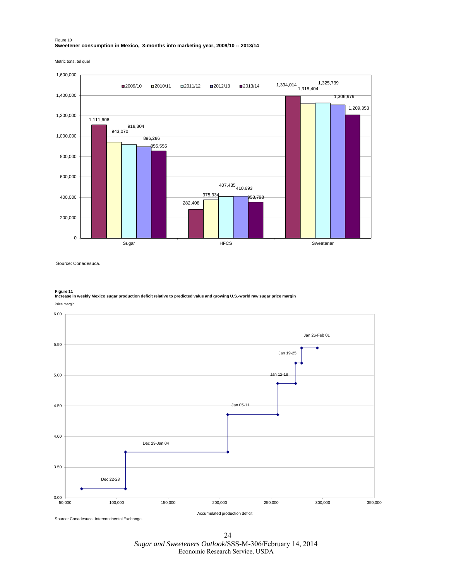#### Figure 10 **Sweetener consumption in Mexico, 3-months into marketing year, 2009/10 -- 2013/14**

Metric tons, tel quel



Source: Conadesuca.

**Figure 11 Increase in weekly Mexico sugar production deficit relative to predicted value and growing U.S.-world raw sugar price margin**



24 *Sugar and Sweeteners Outlook*/SSS-M-306/February 14, 2014 Economic Research Service, USDA